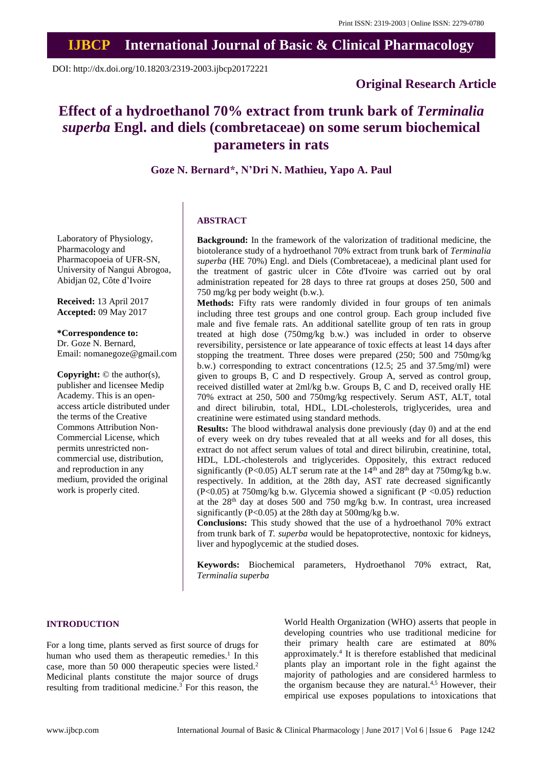DOI: http://dx.doi.org/10.18203/2319-2003.ijbcp20172221

# **Original Research Article**

# **Effect of a hydroethanol 70% extract from trunk bark of** *Terminalia superba* **Engl. and diels (combretaceae) on some serum biochemical parameters in rats**

**Goze N. Bernard\*, N'Dri N. Mathieu, Yapo A. Paul**

# Laboratory of Physiology, Pharmacology and Pharmacopoeia of UFR-SN, University of Nangui Abrogoa,

**Received:** 13 April 2017 **Accepted:** 09 May 2017

Abidjan 02, Côte d'Ivoire

**\*Correspondence to:** Dr. Goze N. Bernard, Email: nomanegoze@gmail.com

**Copyright:** © the author(s), publisher and licensee Medip Academy. This is an openaccess article distributed under the terms of the Creative Commons Attribution Non-Commercial License, which permits unrestricted noncommercial use, distribution, and reproduction in any medium, provided the original work is properly cited.

# **ABSTRACT**

**Background:** In the framework of the valorization of traditional medicine, the biotolerance study of a hydroethanol 70% extract from trunk bark of *Terminalia superba* (HE 70%) Engl. and Diels (Combretaceae), a medicinal plant used for the treatment of gastric ulcer in Côte d'Ivoire was carried out by oral administration repeated for 28 days to three rat groups at doses 250, 500 and 750 mg/kg per body weight (b.w.).

**Methods:** Fifty rats were randomly divided in four groups of ten animals including three test groups and one control group. Each group included five male and five female rats. An additional satellite group of ten rats in group treated at high dose (750mg/kg b.w.) was included in order to observe reversibility, persistence or late appearance of toxic effects at least 14 days after stopping the treatment. Three doses were prepared (250; 500 and 750mg/kg b.w.) corresponding to extract concentrations (12.5; 25 and 37.5mg/ml) were given to groups B, C and D respectively. Group A, served as control group, received distilled water at 2ml/kg b.w. Groups B, C and D, received orally HE 70% extract at 250, 500 and 750mg/kg respectively. Serum AST, ALT, total and direct bilirubin, total, HDL, LDL-cholesterols, triglycerides, urea and creatinine were estimated using standard methods.

**Results:** The blood withdrawal analysis done previously (day 0) and at the end of every week on dry tubes revealed that at all weeks and for all doses, this extract do not affect serum values of total and direct bilirubin, creatinine, total, HDL, LDL-cholesterols and triglycerides. Oppositely, this extract reduced significantly (P<0.05) ALT serum rate at the  $14<sup>th</sup>$  and  $28<sup>th</sup>$  day at  $750$ mg/kg b.w. respectively. In addition, at the 28th day, AST rate decreased significantly (P<0.05) at 750mg/kg b.w. Glycemia showed a significant (P <0.05) reduction at the 28th day at doses 500 and 750 mg/kg b.w. In contrast, urea increased significantly ( $P<0.05$ ) at the 28th day at 500mg/kg b.w.

**Conclusions:** This study showed that the use of a hydroethanol 70% extract from trunk bark of *T. superba* would be hepatoprotective, nontoxic for kidneys, liver and hypoglycemic at the studied doses.

**Keywords:** Biochemical parameters, Hydroethanol 70% extract, Rat, *Terminalia superba*

# **INTRODUCTION**

For a long time, plants served as first source of drugs for human who used them as therapeutic remedies.<sup>1</sup> In this case, more than 50 000 therapeutic species were listed. 2 Medicinal plants constitute the major source of drugs resulting from traditional medicine.<sup>3</sup> For this reason, the

World Health Organization (WHO) asserts that people in developing countries who use traditional medicine for their primary health care are estimated at 80% approximately. 4 It is therefore established that medicinal plants play an important role in the fight against the majority of pathologies and are considered harmless to the organism because they are natural.<sup>4,5</sup> However, their empirical use exposes populations to intoxications that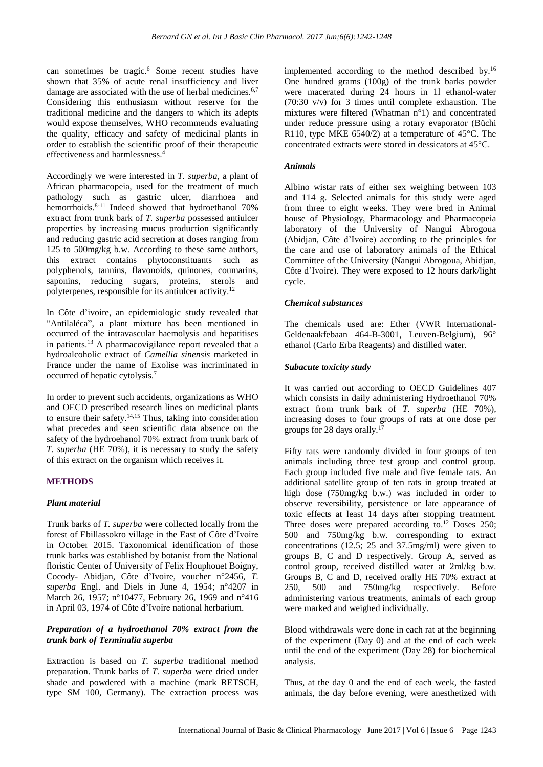can sometimes be tragic. <sup>6</sup> Some recent studies have shown that 35% of acute renal insufficiency and liver damage are associated with the use of herbal medicines.<sup>6,7</sup> Considering this enthusiasm without reserve for the traditional medicine and the dangers to which its adepts would expose themselves, WHO recommends evaluating the quality, efficacy and safety of medicinal plants in order to establish the scientific proof of their therapeutic effectiveness and harmlessness. 4

Accordingly we were interested in *T. superba,* a plant of African pharmacopeia, used for the treatment of much pathology such as gastric ulcer, diarrhoea and hemorrhoids. 8-11 Indeed showed that hydroethanol 70% extract from trunk bark of *T. superba* possessed antiulcer properties by increasing mucus production significantly and reducing gastric acid secretion at doses ranging from 125 to 500mg/kg b.w. According to these same authors, this extract contains phytoconstituants such as polyphenols, tannins, flavonoids, quinones, coumarins, saponins, reducing sugars, proteins, sterols and polyterpenes, responsible for its antiulcer activity.<sup>12</sup>

In Côte d'ivoire, an epidemiologic study revealed that "Antilaléca", a plant mixture has been mentioned in occurred of the intravascular haemolysis and hepatitises in patients. <sup>13</sup> A pharmacovigilance report revealed that a hydroalcoholic extract of *Camellia sinensis* marketed in France under the name of Exolise was incriminated in occurred of hepatic cytolysis. 7

In order to prevent such accidents, organizations as WHO and OECD prescribed research lines on medicinal plants to ensure their safety. 14,15 Thus, taking into consideration what precedes and seen scientific data absence on the safety of the hydroehanol 70% extract from trunk bark of *T. superba* (HE 70%), it is necessary to study the safety of this extract on the organism which receives it.

# **METHODS**

#### *Plant material*

Trunk barks of *T. superba* were collected locally from the forest of Ebillassokro village in the East of Côte d'Ivoire in October 2015. Taxonomical identification of those trunk barks was established by botanist from the National floristic Center of University of Felix Houphouet Boigny, Cocody- Abidjan, Côte d'Ivoire, voucher n°2456, *T. superba* Engl. and Diels in June 4, 1954; n°4207 in March 26, 1957; n°10477, February 26, 1969 and n°416 in April 03, 1974 of Côte d'Ivoire national herbarium.

# *Preparation of a hydroethanol 70% extract from the trunk bark of Terminalia superba*

Extraction is based on *T. superba* traditional method preparation. Trunk barks of *T. superba* were dried under shade and powdered with a machine (mark RETSCH, type SM 100, Germany). The extraction process was

implemented according to the method described by.<sup>16</sup> One hundred grams (100g) of the trunk barks powder were macerated during 24 hours in 1l ethanol-water (70:30 v/v) for 3 times until complete exhaustion. The mixtures were filtered (Whatman n°1) and concentrated under reduce pressure using a rotary evaporator (Büchi R110, type MKE 6540/2) at a temperature of 45°C. The concentrated extracts were stored in dessicators at 45°C.

#### *Animals*

Albino wistar rats of either sex weighing between 103 and 114 g. Selected animals for this study were aged from three to eight weeks. They were bred in Animal house of Physiology, Pharmacology and Pharmacopeia laboratory of the University of Nangui Abrogoua (Abidjan, Côte d'Ivoire) according to the principles for the care and use of laboratory animals of the Ethical Committee of the University (Nangui Abrogoua, Abidjan, Côte d'Ivoire). They were exposed to 12 hours dark/light cycle.

#### *Chemical substances*

The chemicals used are: Ether (VWR International-Geldenaakfebaan 464-B-3001, Leuven-Belgium), 96° ethanol (Carlo Erba Reagents) and distilled water.

#### *Subacute toxicity study*

It was carried out according to OECD Guidelines 407 which consists in daily administering Hydroethanol 70% extract from trunk bark of *T. superba* (HE 70%)*,* increasing doses to four groups of rats at one dose per groups for 28 days orally.<sup>17</sup>

Fifty rats were randomly divided in four groups of ten animals including three test group and control group. Each group included five male and five female rats. An additional satellite group of ten rats in group treated at high dose (750mg/kg b.w.) was included in order to observe reversibility, persistence or late appearance of toxic effects at least 14 days after stopping treatment. Three doses were prepared according to.<sup>12</sup> Doses 250; 500 and 750mg/kg b.w. corresponding to extract concentrations (12.5; 25 and 37.5mg/ml) were given to groups B, C and D respectively. Group A, served as control group, received distilled water at 2ml/kg b.w. Groups B, C and D, received orally HE 70% extract at 250, 500 and 750mg/kg respectively. Before administering various treatments, animals of each group were marked and weighed individually.

Blood withdrawals were done in each rat at the beginning of the experiment (Day 0) and at the end of each week until the end of the experiment (Day 28) for biochemical analysis.

Thus, at the day 0 and the end of each week, the fasted animals, the day before evening, were anesthetized with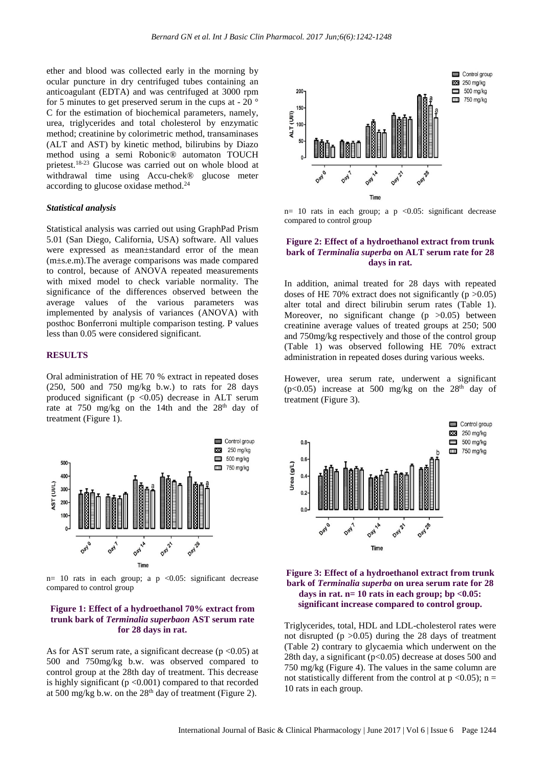ether and blood was collected early in the morning by ocular puncture in dry centrifuged tubes containing an anticoagulant (EDTA) and was centrifuged at 3000 rpm for 5 minutes to get preserved serum in the cups at - 20 ° C for the estimation of biochemical parameters, namely, urea, triglycerides and total cholesterol by enzymatic method; creatinine by colorimetric method, transaminases (ALT and AST) by kinetic method, bilirubins by Diazo method using a semi Robonic® automaton TOUCH prietest.18-23 Glucose was carried out on whole blood at withdrawal time using Accu-chek® glucose meter according to glucose oxidase method. 24

#### *Statistical analysis*

Statistical analysis was carried out using GraphPad Prism 5.01 (San Diego, California, USA) software. All values were expressed as mean±standard error of the mean (m±s.e.m).The average comparisons was made compared to control, because of ANOVA repeated measurements with mixed model to check variable normality. The significance of the differences observed between the average values of the various parameters was implemented by analysis of variances (ANOVA) with posthoc Bonferroni multiple comparison testing. P values less than 0.05 were considered significant.

#### **RESULTS**

Oral administration of HE 70 % extract in repeated doses (250, 500 and 750 mg/kg b.w.) to rats for 28 days produced significant ( $p \le 0.05$ ) decrease in ALT serum rate at 750 mg/kg on the 14th and the 28<sup>th</sup> day of treatment (Figure 1).



n= 10 rats in each group; a p <0.05: significant decrease compared to control group

#### **Figure 1: Effect of a hydroethanol 70% extract from trunk bark of** *Terminalia superbaon* **AST serum rate for 28 days in rat.**

As for AST serum rate, a significant decrease  $(p < 0.05)$  at 500 and 750mg/kg b.w. was observed compared to control group at the 28th day of treatment. This decrease is highly significant ( $p < 0.001$ ) compared to that recorded at 500 mg/kg b.w. on the  $28<sup>th</sup>$  day of treatment (Figure 2).



n= 10 rats in each group; a  $p \le 0.05$ : significant decrease compared to control group

#### **Figure 2: Effect of a hydroethanol extract from trunk bark of** *Terminalia superba* **on ALT serum rate for 28 days in rat.**

In addition, animal treated for 28 days with repeated doses of HE 70% extract does not significantly ( $p > 0.05$ ) alter total and direct bilirubin serum rates (Table 1). Moreover, no significant change  $(p > 0.05)$  between creatinine average values of treated groups at 250; 500 and 750mg/kg respectively and those of the control group (Table 1) was observed following HE 70% extract administration in repeated doses during various weeks.

However, urea serum rate, underwent a significant ( $p<0.05$ ) increase at 500 mg/kg on the 28<sup>th</sup> day of treatment (Figure 3).





Triglycerides, total, HDL and LDL-cholesterol rates were not disrupted ( $p > 0.05$ ) during the 28 days of treatment (Table 2) contrary to glycaemia which underwent on the 28th day, a significant  $(p<0.05)$  decrease at doses 500 and 750 mg/kg (Figure 4). The values in the same column are not statistically different from the control at  $p \le 0.05$ ; n = 10 rats in each group.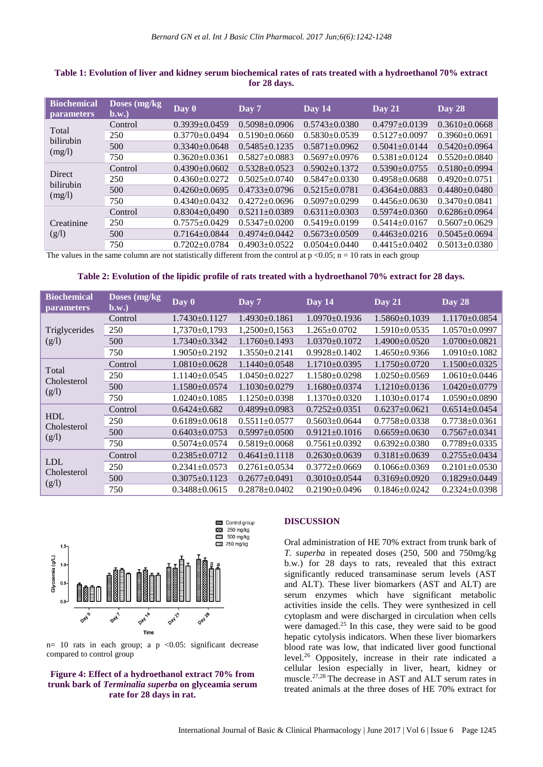| Doses $(mg/kg)$<br>$b.w.$ | Day 0               | $\overline{Day}$ 7  | Day 14              | Day 21              | Day 28              |
|---------------------------|---------------------|---------------------|---------------------|---------------------|---------------------|
| Control                   | $0.3939 \pm 0.0459$ | $0.5098 + 0.0906$   | $0.5743 + 0.0380$   | $0.4797 \pm 0.0139$ | $0.3610\pm0.0668$   |
| 250                       | $0.3770 \pm 0.0494$ | $0.5190 \pm 0.0660$ | $0.5830\pm0.0539$   | $0.5127 \pm 0.0097$ | $0.3960\pm0.0691$   |
| 500                       | $0.3340 \pm 0.0648$ | $0.5485 + 0.1235$   | $0.5871 \pm 0.0962$ | $0.5041 \pm 0.0144$ | $0.5420 \pm 0.0964$ |
| 750                       | $0.3620+0.0361$     | $0.5827+0.0883$     | $0.5697 \pm 0.0976$ | $0.5381 \pm 0.0124$ | $0.5520 \pm 0.0840$ |
| Control                   | $0.4390 \pm 0.0602$ | $0.5328 + 0.0523$   | $0.5902+0.1372$     | $0.5390 \pm 0.0755$ | $0.5180\pm0.0994$   |
| 250                       | $0.4360 \pm 0.0272$ | $0.5025 \pm 0.0740$ | $0.5847+0.0330$     | $0.4958 \pm 0.0688$ | $0.4920 \pm 0.0751$ |
| 500                       | $0.4260 \pm 0.0695$ | $0.4733+0.0796$     | $0.5215 + 0.0781$   | $0.4364 + 0.0883$   | $0.4480 \pm 0.0480$ |
| 750                       | $0.4340+0.0432$     | $0.4272 + 0.0696$   | $0.5097 \pm 0.0299$ | $0.4456 + 0.0630$   | $0.3470 + 0.0841$   |
| Control                   | $0.8304 \pm 0.0490$ | $0.5211 + 0.0389$   | $0.6311 \pm 0.0303$ | $0.5974 + 0.0360$   | $0.6286 \pm 0.0964$ |
| 250                       | $0.7575 \pm 0.0429$ | $0.5347+0.0200$     | $0.5419 \pm 0.0199$ | $0.5414 + 0.0167$   | $0.5607 \pm 0.0629$ |
| 500                       | $0.7164 \pm 0.0844$ | $0.4974 + 0.0442$   | $0.5673+0.0509$     | $0.4463 + 0.0216$   | $0.5045 \pm 0.0694$ |
| 750                       | $0.7202 + 0.0784$   | $0.4903+0.0522$     | $0.0504 + 0.0440$   | $0.4415 \pm 0.0402$ | $0.5013 \pm 0.0380$ |
|                           |                     |                     |                     |                     |                     |

# **Table 1: Evolution of liver and kidney serum biochemical rates of rats treated with a hydroethanol 70% extract for 28 days.**

The values in the same column are not statistically different from the control at  $p \lt 0.05$ ;  $n = 10$  rats in each group

# **Table 2: Evolution of the lipidic profile of rats treated with a hydroethanol 70% extract for 28 days.**

| <b>Biochemical</b><br><i>parameters</i> | Doses $(mg/kg)$<br>$b.w.$ | $\overline{\text{Day } 0}$ | Day 7               | Day 14              | Day 21              | Day 28              |
|-----------------------------------------|---------------------------|----------------------------|---------------------|---------------------|---------------------|---------------------|
| Triglycerides<br>(g/l)                  | Control                   | $1.7430 \pm 0.1127$        | $1.4930 \pm 0.1861$ | $1.0970 \pm 0.1936$ | $1.5860\pm0.1039$   | $1.1170\pm0.0854$   |
|                                         | 250                       | $1,7370\pm0,1793$          | $1,2500\pm0,1563$   | $1.265 \pm 0.0702$  | $1.5910\pm0.0535$   | $1.0570\pm0.0997$   |
|                                         | 500                       | $1.7340 \pm 0.3342$        | 1.1760±0.1493       | 1.0370±0.1072       | $1.4900 \pm 0.0520$ | $1.0700 \pm 0.0821$ |
|                                         | 750                       | $1.9050\pm0.2192$          | $1.3550+0.2141$     | $0.9928 \pm 0.1402$ | $1.4650+0.9366$     | $1.0910\pm0.1082$   |
| Total<br>Cholesterol<br>(g/l)           | Control                   | $1.0810\pm0.0628$          | $1.1440 + 0.0548$   | $1.1710\pm0.0395$   | $1.1750+0.0720$     | $1.1500 \pm 0.0325$ |
|                                         | 250                       | $1.1140 \pm 0.0545$        | $1.0450 \pm 0.0227$ | $1.1580 \pm 0.0298$ | $1.0250\pm0.0569$   | $1.0610\pm0.0446$   |
|                                         | 500                       | $1.1580 \pm 0.0574$        | $1.1030\pm0.0279$   | $1.1680 \pm 0.0374$ | $1.1210\pm0.0136$   | $1.0420 \pm 0.0779$ |
|                                         | 750                       | $1.0240\pm0.1085$          | $1.1250\pm0.0398$   | $1.1370 \pm 0.0320$ | $1.1030\pm0.0174$   | $1.0590\pm0.0890$   |
| <b>HDL</b><br>Cholesterol<br>(g/l)      | Control                   | $0.6424 \pm 0.682$         | $0.4899 \pm 0.0983$ | $0.7252 \pm 0.0351$ | $0.6237 \pm 0.0621$ | $0.6514 \pm 0.0454$ |
|                                         | 250                       | $0.6189 \pm 0.0618$        | $0.5511 \pm 0.0577$ | $0.5603 \pm 0.0644$ | $0.7758 \pm 0.0338$ | $0.7738 \pm 0.0361$ |
|                                         | 500                       | $0.6403 \pm 0.0753$        | $0.5997 + 0.0500$   | $0.9121 \pm 0.1016$ | $0.6659 \pm 0.0630$ | $0.7567 + 0.0341$   |
|                                         | 750                       | $0.5074 \pm 0.0574$        | $0.5819 \pm 0.0068$ | $0.7561 \pm 0.0392$ | $0.6392 \pm 0.0380$ | $0.7789 \pm 0.0335$ |
| <b>LDL</b><br>Cholesterol<br>(g/l)      | Control                   | $0.2385 \pm 0.0712$        | $0.4641 \pm 0.1118$ | $0.2630\pm0.0639$   | $0.3181 \pm 0.0639$ | $0.2755 \pm 0.0434$ |
|                                         | 250                       | $0.2341 \pm 0.0573$        | $0.2761 \pm 0.0534$ | $0.3772 \pm 0.0669$ | $0.1066 \pm 0.0369$ | $0.2101 \pm 0.0530$ |
|                                         | 500                       | $0.3075 \pm 0.1123$        | $0.2677 + 0.0491$   | $0.3010\pm0.0544$   | $0.3169 \pm 0.0920$ | $0.1829 \pm 0.0449$ |
|                                         | 750                       | $0.3488 \pm 0.0615$        | $0.2878 \pm 0.0402$ | $0.2190\pm0.0496$   | $0.1846 \pm 0.0242$ | $0.2324 \pm 0.0398$ |



 $n= 10$  rats in each group; a p <0.05: significant decrease compared to control group

### **Figure 4: Effect of a hydroethanol extract 70% from trunk bark of** *Terminalia superba* **on glyceamia serum rate for 28 days in rat.**

#### **DISCUSSION**

Oral administration of HE 70% extract from trunk bark of *T. superba* in repeated doses (250, 500 and 750mg/kg b.w.) for 28 days to rats, revealed that this extract significantly reduced transaminase serum levels (AST and ALT). These liver biomarkers (AST and ALT) are serum enzymes which have significant metabolic activities inside the cells. They were synthesized in cell cytoplasm and were discharged in circulation when cells were damaged. <sup>25</sup> In this case, they were said to be good hepatic cytolysis indicators. When these liver biomarkers blood rate was low, that indicated liver good functional level. <sup>26</sup> Oppositely, increase in their rate indicated a cellular lesion especially in liver, heart, kidney or muscle. 27,28 The decrease in AST and ALT serum rates in treated animals at the three doses of HE 70% extract for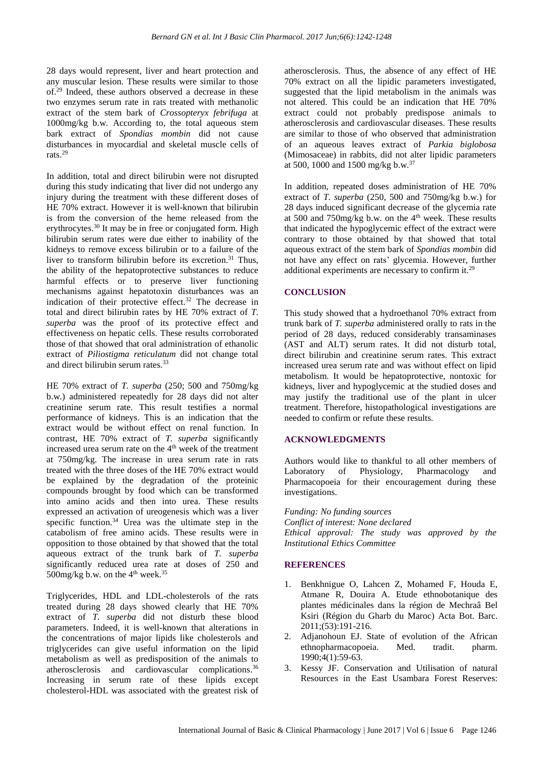28 days would represent, liver and heart protection and any muscular lesion. These results were similar to those of. <sup>29</sup> Indeed, these authors observed a decrease in these two enzymes serum rate in rats treated with methanolic extract of the stem bark of *Crossopteryx febrifuga* at 1000mg/kg b.w. According to, the total aqueous stem bark extract of *Spondias mombin* did not cause disturbances in myocardial and skeletal muscle cells of rats.<sup>29</sup>

In addition, total and direct bilirubin were not disrupted during this study indicating that liver did not undergo any injury during the treatment with these different doses of HE 70% extract. However it is well-known that bilirubin is from the conversion of the heme released from the erythrocytes.<sup>30</sup> It may be in free or conjugated form. High bilirubin serum rates were due either to inability of the kidneys to remove excess bilirubin or to a failure of the liver to transform bilirubin before its excretion. <sup>31</sup> Thus, the ability of the hepatoprotective substances to reduce harmful effects or to preserve liver functioning mechanisms against hepatotoxin disturbances was an indication of their protective effect. <sup>32</sup> The decrease in total and direct bilirubin rates by HE 70% extract of *T. superba* was the proof of its protective effect and effectiveness on hepatic cells. These results corroborated those of that showed that oral administration of ethanolic extract of *Piliostigma reticulatum* did not change total and direct bilirubin serum rates.<sup>33</sup>

HE 70% extract of *T. superba* (250; 500 and 750mg/kg b.w.) administered repeatedly for 28 days did not alter creatinine serum rate. This result testifies a normal performance of kidneys. This is an indication that the extract would be without effect on renal function. In contrast, HE 70% extract of *T. superba* significantly increased urea serum rate on the 4<sup>th</sup> week of the treatment at 750mg/kg. The increase in urea serum rate in rats treated with the three doses of the HE 70% extract would be explained by the degradation of the proteinic compounds brought by food which can be transformed into amino acids and then into urea. These results expressed an activation of ureogenesis which was a liver specific function. <sup>34</sup> Urea was the ultimate step in the catabolism of free amino acids. These results were in opposition to those obtained by that showed that the total aqueous extract of the trunk bark of *T. superba* significantly reduced urea rate at doses of 250 and 500mg/kg b.w. on the  $4<sup>th</sup>$  week.<sup>35</sup>

Triglycerides, HDL and LDL-cholesterols of the rats treated during 28 days showed clearly that HE 70% extract of *T. superba* did not disturb these blood parameters. Indeed, it is well-known that alterations in the concentrations of major lipids like cholesterols and triglycerides can give useful information on the lipid metabolism as well as predisposition of the animals to atherosclerosis and cardiovascular complications. 36 Increasing in serum rate of these lipids except cholesterol-HDL was associated with the greatest risk of atherosclerosis. Thus, the absence of any effect of HE 70% extract on all the lipidic parameters investigated, suggested that the lipid metabolism in the animals was not altered. This could be an indication that HE 70% extract could not probably predispose animals to atherosclerosis and cardiovascular diseases. These results are similar to those of who observed that administration of an aqueous leaves extract of *Parkia biglobosa* (Mimosaceae) in rabbits, did not alter lipidic parameters at 500, 1000 and 1500 mg/kg b.w.<sup>37</sup>

In addition, repeated doses administration of HE 70% extract of *T. superba* (250, 500 and 750mg/kg b.w.) for 28 days induced significant decrease of the glycemia rate at 500 and 750mg/kg b.w. on the 4<sup>th</sup> week. These results that indicated the hypoglycemic effect of the extract were contrary to those obtained by that showed that total aqueous extract of the stem bark of *Spondias mombin* did not have any effect on rats' glycemia. However, further additional experiments are necessary to confirm it.<sup>29</sup>

# **CONCLUSION**

This study showed that a hydroethanol 70% extract from trunk bark of *T. superba* administered orally to rats in the period of 28 days, reduced considerably transaminases (AST and ALT) serum rates. It did not disturb total, direct bilirubin and creatinine serum rates. This extract increased urea serum rate and was without effect on lipid metabolism. It would be hepatoprotective, nontoxic for kidneys, liver and hypoglycemic at the studied doses and may justify the traditional use of the plant in ulcer treatment. Therefore, histopathological investigations are needed to confirm or refute these results.

# **ACKNOWLEDGMENTS**

Authors would like to thankful to all other members of Laboratory of Physiology, Pharmacology and Pharmacopoeia for their encouragement during these investigations.

*Funding: No funding sources Conflict of interest: None declared Ethical approval: The study was approved by the Institutional Ethics Committee*

# **REFERENCES**

- 1. Benkhnigue O, Lahcen Z, Mohamed F, Houda E, Atmane R, Douira A. Etude ethnobotanique des plantes médicinales dans la région de Mechraâ Bel Ksiri (Région du Gharb du Maroc) Acta Bot. Barc. 2011;(53):191-216.
- 2. Adjanohoun EJ. State of evolution of the African ethnopharmacopoeia. Med. tradit. pharm. 1990;4(1):59-63.
- 3. Kessy JF. Conservation and Utilisation of natural Resources in the East Usambara Forest Reserves: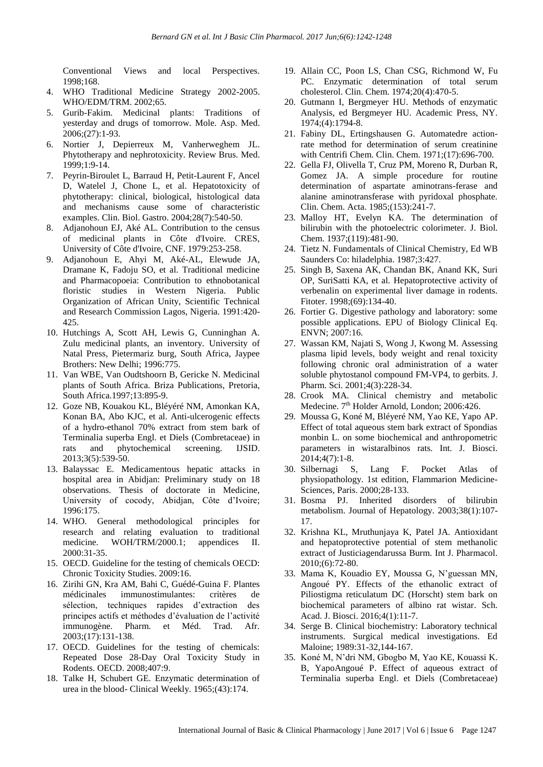Conventional Views and local Perspectives. 1998;168.

- 4. WHO Traditional Medicine Strategy 2002-2005. WHO/EDM/TRM. 2002;65.
- 5. Gurib-Fakim. Medicinal plants: Traditions of yesterday and drugs of tomorrow. Mole. Asp. Med.  $2006$ ; $(27)$ :1-93.
- 6. Nortier J, Depierreux M, Vanherweghem JL. Phytotherapy and nephrotoxicity. Review Brus. Med. 1999;1:9-14.
- 7. Peyrin-Biroulet L, Barraud H, Petit-Laurent F, Ancel D, Watelel J, Chone L, et al. Hepatotoxicity of phytotherapy: clinical, biological, histological data and mechanisms cause some of characteristic examples. Clin. Biol. Gastro. 2004;28(7):540-50.
- 8. Adjanohoun EJ, Aké AL. Contribution to the census of medicinal plants in Côte d'Ivoire. CRES, University of Côte d'Ivoire, CNF. 1979:253-258.
- 9. Adjanohoun E, Ahyi M, Aké-AL, Elewude JA, Dramane K, Fadoju SO, et al. Traditional medicine and Pharmacopoeia: Contribution to ethnobotanical floristic studies in Western Nigeria. Public Organization of African Unity, Scientific Technical and Research Commission Lagos, Nigeria. 1991:420- 425.
- 10. Hutchings A, Scott AH, Lewis G, Cunninghan A. Zulu medicinal plants, an inventory. University of Natal Press, Pietermariz burg, South Africa, Jaypee Brothers: New Delhi; 1996:775.
- 11. Van WBE, Van Oudtshoorn B, Gericke N. Medicinal plants of South Africa. Briza Publications, Pretoria, South Africa.1997;13:895-9.
- 12. Goze NB, Kouakou KL, Bléyéré NM, Amonkan KA, Konan BA, Abo KJC, et al. Anti-ulcerogenic effects of a hydro-ethanol 70% extract from stem bark of Terminalia superba Engl. et Diels (Combretaceae) in rats and phytochemical screening. IJSID. 2013;3(5):539-50.
- 13. Balayssac E. Medicamentous hepatic attacks in hospital area in Abidjan: Preliminary study on 18 observations. Thesis of doctorate in Medicine, University of cocody, Abidjan, Côte d'Ivoire; 1996:175.
- 14. WHO. General methodological principles for research and relating evaluation to traditional medicine. WOH/TRM/2000.1; appendices II. 2000:31-35.
- 15. OECD. Guideline for the testing of chemicals OECD: Chronic Toxicity Studies. 2009:16.
- 16. Zirihi GN, Kra AM, Bahi C, Guédé-Guina F. Plantes médicinales immunostimulantes: critères de sélection, techniques rapides d'extraction des principes actifs et méthodes d'évaluation de l'activité immunogène. Pharm. et Méd. Trad. Afr. 2003;(17):131-138.
- 17. OECD. Guidelines for the testing of chemicals: Repeated Dose 28-Day Oral Toxicity Study in Rodents. OECD. 2008;407:9.
- 18. Talke H, Schubert GE. Enzymatic determination of urea in the blood- Clinical Weekly. 1965;(43):174.
- 19. Allain CC, Poon LS, Chan CSG, Richmond W, Fu PC. Enzymatic determination of total serum cholesterol. Clin. Chem. 1974;20(4):470-5.
- 20. Gutmann I, Bergmeyer HU. Methods of enzymatic Analysis, ed Bergmeyer HU. Academic Press, NY. 1974;(4):1794-8.
- 21. Fabiny DL, Ertingshausen G. Automatedre actionrate method for determination of serum creatinine with Centrifi Chem. Clin. Chem. 1971;(17):696-700.
- 22. Gella FJ, Olivella T, Cruz PM, Moreno R, Durban R, Gomez JA. A simple procedure for routine determination of aspartate aminotrans-ferase and alanine aminotransferase with pyridoxal phosphate. Clin. Chem. Acta. 1985;(153):241-7.
- 23. Malloy HT, Evelyn KA. The determination of bilirubin with the photoelectric colorimeter. J. Biol. Chem. 1937;(119):481-90.
- 24. Tietz N. Fundamentals of Clinical Chemistry, Ed WB Saunders Co: hiladelphia. 1987;3:427.
- 25. Singh B, Saxena AK, Chandan BK, Anand KK, Suri OP, SuriSatti KA, et al. Hepatoprotective activity of verbenalin on experimental liver damage in rodents. Fitoter. 1998;(69):134-40.
- 26. Fortier G. Digestive pathology and laboratory: some possible applications. EPU of Biology Clinical Eq. ENVN; 2007:16.
- 27. Wassan KM, Najati S, Wong J, Kwong M. Assessing plasma lipid levels, body weight and renal toxicity following chronic oral administration of a water soluble phytostanol compound FM-VP4, to gerbits. J. Pharm. Sci. 2001;4(3):228-34.
- 28. Crook MA. Clinical chemistry and metabolic Medecine. 7<sup>th</sup> Holder Arnold, London; 2006:426.
- 29. Moussa G, Koné M, Bléyeré NM, Yao KE, Yapo AP. Effect of total aqueous stem bark extract of Spondias monbin L. on some biochemical and anthropometric parameters in wistaralbinos rats. Int. J. Biosci. 2014;4(7):1-8.
- 30. Silbernagi S, Lang F. Pocket Atlas of physiopathology. 1st edition, Flammarion Medicine-Sciences, Paris. 2000;28-133.
- 31. Bosma PJ. Inherited disorders of bilirubin metabolism. Journal of Hepatology. 2003;38(1):107- 17.
- 32. Krishna KL, Mruthunjaya K, Patel JA. Antioxidant and hepatoprotective potential of stem methanolic extract of Justiciagendarussa Burm. Int J. Pharmacol. 2010;(6):72-80.
- 33. Mama K, Kouadio EY, Moussa G, N'guessan MN, Angoué PY. Effects of the ethanolic extract of Piliostigma reticulatum DC (Horscht) stem bark on biochemical parameters of albino rat wistar. Sch. Acad. J. Biosci. 2016;4(1):11-7.
- 34. Serge B. Clinical biochemistry: Laboratory technical instruments. Surgical medical investigations. Ed Maloine; 1989:31-32,144-167.
- 35. Koné M, N'dri NM, Gbogbo M, Yao KE, Kouassi K. B, YapoAngoué P. Effect of aqueous extract of Terminalia superba Engl. et Diels (Combretaceae)